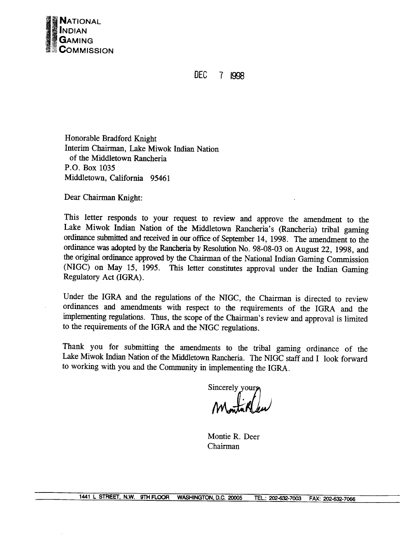

**DEC** 7 1998

Honorable Bradford Knight Interim Chairman, Lake Miwok Indian Nation of the Middletown Rancheria P.O. Box 1035 Middletown, California 95461

Dear Chairman Knight:

This letter responds to your request to review and approve the amendment to the Lake Miwok Indian Nation of the Middletown Rancheria's (Rancheria) tribal gaming ordinance submitted and received in our office of September 14, 1998. The amendment to the ordinance was adopted by the Rancheria by Resolution No. 98-08-03 on August 22, 1998, and the original ordinance approved by the Chairman of the National Indian Gaming Commission (NIGC) on May 15, 1995. This letter constitutes approval under the Indian Gaming Regulatory Act (IGRA).

Under the IGRA and the regulations of the NIGC, the Chairman is directed to review ordinances and amendments with respect to the requirements of the IGRA and the implementing regulations. Thus, the scope of the Chairman's review and approval is limited to the requirements of the IGRA and the NIGC regulations.

Thank you for submitting the amendments to the tribal gaming ordinance of the Lake Miwok Indian Nation of the Middletown Rancheria. The NIGC staff and I look forward to working with you and the Community in implementing the IGRA.

Sincerely your

Montie R. Deer Chairman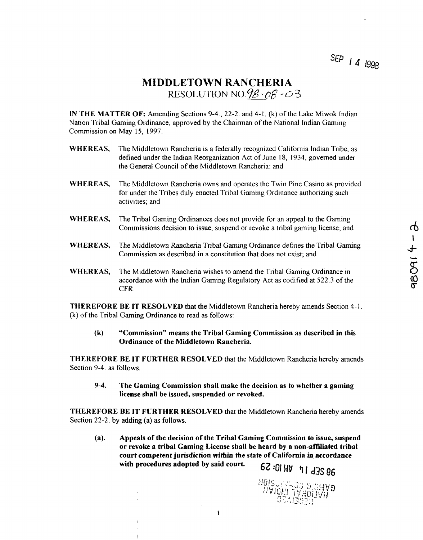SEP **1 4 1998** 

## **MIDDLETOWN RANCIIERIA RESOLUTION NO.9** $\beta$ - $\alpha\beta$ - $\alpha$ 3

**IN THE MATTER OF: Amending Sections 9-4., 22-2. and 4-1. (k) of the Lake Miwok Indian Nation Tribal Gaming Ordinance, approved by the Chairman of the National Indian Gaming Commission on May 15, 1997.**

- **WHEREAS, The Middletown Rancheria is <sup>a</sup> federally recognized California Indian Tribe, as defined under the Indian Reorganization Act of June 18, 1934, governed under the General Council of the Middletown Rancheria: and**
- **WHEREAS, The Middletown Rancheria owns and operates the Twin Pine Casino as provided for under the Tribes duly enacted Tribal Gaming Ordinance authorizing such activities; and**
- **WHEREAS. The Tribal Gaming Ordinances does not provide for an appeal to the Gaming Commissions decision to issue, suspend or revoke <sup>a</sup> tribal gaming license; and**
- **WHEREAS, The Middletown Rancheria Tribal Gaming Ordinance defines the Tribal Gaming Commission as described in a constitution that does not exist; and**
- WHEREAS, The Middletown Rancheria Tribal Gaming Ordinance defines the Tribal Gaming<br>
Commission as described in a constitution that does not exist; and<br>
WHEREAS, The Middletown Rancheria wishes to amend the Tribal Gaming O **accordance with the Indian Gaming Regulatory Act as codified at 522.3 of the (0 CFR.**

**THEREFORE BE IT RESOLVED that the Middletown Rancheria hereby amends Section 4-I. (k) of the Tribal Gaming Ordinance to read as follows:**

**(k) Commission means the Tribal Gaming Commission as described in this Ordinance of the Middletown Rancheria.**

**THEREFORE BE IT FURTHER RESOLVED that the Middletowr~ Rancheria hereby amends Section 9-4. as follows.**

**9-4. The Gaming Commission shall make the decision as to whether <sup>a</sup> gaming license shall be issued, suspended or revoked.**

**THEREFORE BE IT FURTHER RESOLVED that the Middletown Rancheria hereby amends Section 22-2. by adding (a) as follows.**

**(a). Appeals of the decision of the Tribal Gaming Commission to issue, suspend or revoke a tribal Gaming License shall be heard by a non-affiliated tribal court competent jurisdiction within the state of California in. accordance with procedures adopted by said court.** 67:01 WV **11 dJS** 86

**AMING COMMUNITY AND STORE** 

ർ